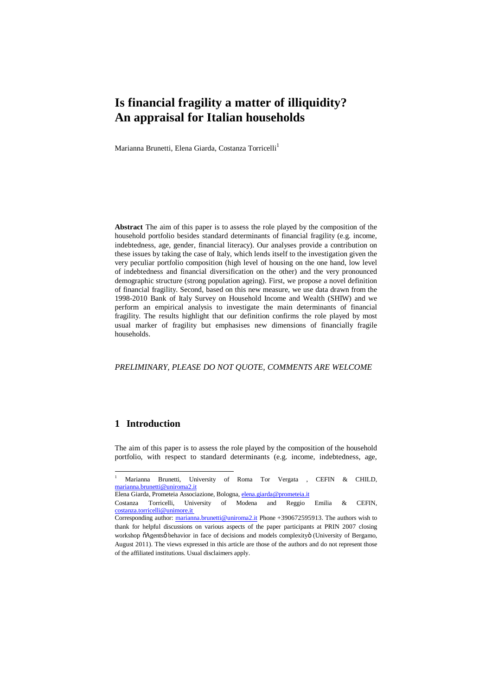# **Is financial fragility a matter of illiquidity? An appraisal for Italian households**

Marianna Brunetti, Elena Giarda, Costanza Torricelli<sup>1</sup>

**Abstract** The aim of this paper is to assess the role played by the composition of the household portfolio besides standard determinants of financial fragility (e.g. income, indebtedness, age, gender, financial literacy). Our analyses provide a contribution on these issues by taking the case of Italy, which lends itself to the investigation given the very peculiar portfolio composition (high level of housing on the one hand, low level of indebtedness and financial diversification on the other) and the very pronounced demographic structure (strong population ageing). First, we propose a novel definition of financial fragility. Second, based on this new measure, we use data drawn from the 1998-2010 Bank of Italy Survey on Household Income and Wealth (SHIW) and we perform an empirical analysis to investigate the main determinants of financial fragility. The results highlight that our definition confirms the role played by most usual marker of fragility but emphasises new dimensions of financially fragile households.

*PRELIMINARY, PLEASE DO NOT QUOTE, COMMENTS ARE WELCOME*

#### **1 Introduction**

The aim of this paper is to assess the role played by the composition of the household portfolio, with respect to standard determinants (e.g. income, indebtedness, age,

Elena Giarda, Prometeia Associazione, Bologna, elena.giarda@prometeia.it

 <sup>1</sup> Marianna Brunetti, University of Roma Tor Vergata , CEFIN & CHILD, marianna.brunetti@uniroma2.it

Costanza Torricelli, University of Modena and Reggio Emilia & CEFIN, costanza.torricelli@unimore.it

Corresponding author: marianna.brunetti@uniroma2.it Phone +390672595913. The authors wish to thank for helpful discussions on various aspects of the paper participants at PRIN 2007 closing workshop  $\delta$ Agentsø behavior in face of decisions and models complexity (University of Bergamo, August 2011). The views expressed in this article are those of the authors and do not represent those of the affiliated institutions. Usual disclaimers apply.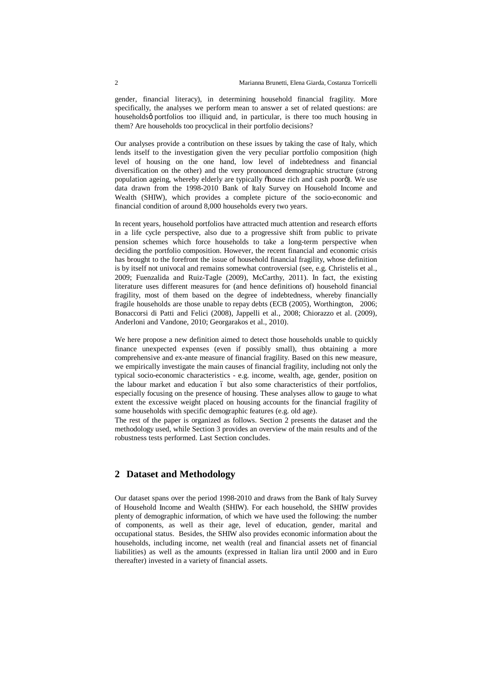gender, financial literacy), in determining household financial fragility. More specifically, the analyses we perform mean to answer a set of related questions: are householdsø portfolios too illiquid and, in particular, is there too much housing in them? Are households too procyclical in their portfolio decisions?

Our analyses provide a contribution on these issues by taking the case of Italy, which lends itself to the investigation given the very peculiar portfolio composition (high level of housing on the one hand, low level of indebtedness and financial diversification on the other) and the very pronounced demographic structure (strong population ageing, whereby elderly are typically õhouse rich and cash poorö). We use data drawn from the 1998-2010 Bank of Italy Survey on Household Income and Wealth (SHIW), which provides a complete picture of the socio-economic and financial condition of around 8,000 households every two years.

In recent years, household portfolios have attracted much attention and research efforts in a life cycle perspective, also due to a progressive shift from public to private pension schemes which force households to take a long-term perspective when deciding the portfolio composition. However, the recent financial and economic crisis has brought to the forefront the issue of household financial fragility, whose definition is by itself not univocal and remains somewhat controversial (see, e.g. Christelis et al., 2009; Fuenzalida and Ruiz-Tagle (2009), McCarthy, 2011). In fact, the existing literature uses different measures for (and hence definitions of) household financial fragility, most of them based on the degree of indebtedness, whereby financially fragile households are those unable to repay debts (ECB (2005), Worthington, 2006; Bonaccorsi di Patti and Felici (2008), Jappelli et al., 2008; Chiorazzo et al. (2009), Anderloni and Vandone, 2010; Georgarakos et al., 2010).

We here propose a new definition aimed to detect those households unable to quickly finance unexpected expenses (even if possibly small), thus obtaining a more comprehensive and ex-ante measure of financial fragility. Based on this new measure, we empirically investigate the main causes of financial fragility, including not only the typical socio-economic characteristics - e.g. income, wealth, age, gender, position on the labour market and education 6 but also some characteristics of their portfolios, especially focusing on the presence of housing. These analyses allow to gauge to what extent the excessive weight placed on housing accounts for the financial fragility of some households with specific demographic features (e.g. old age).

The rest of the paper is organized as follows. Section 2 presents the dataset and the methodology used, while Section 3 provides an overview of the main results and of the robustness tests performed. Last Section concludes.

### **2 Dataset and Methodology**

Our dataset spans over the period 1998-2010 and draws from the Bank of Italy Survey of Household Income and Wealth (SHIW). For each household, the SHIW provides plenty of demographic information, of which we have used the following: the number of components, as well as their age, level of education, gender, marital and occupational status. Besides, the SHIW also provides economic information about the households, including income, net wealth (real and financial assets net of financial liabilities) as well as the amounts (expressed in Italian lira until 2000 and in Euro thereafter) invested in a variety of financial assets.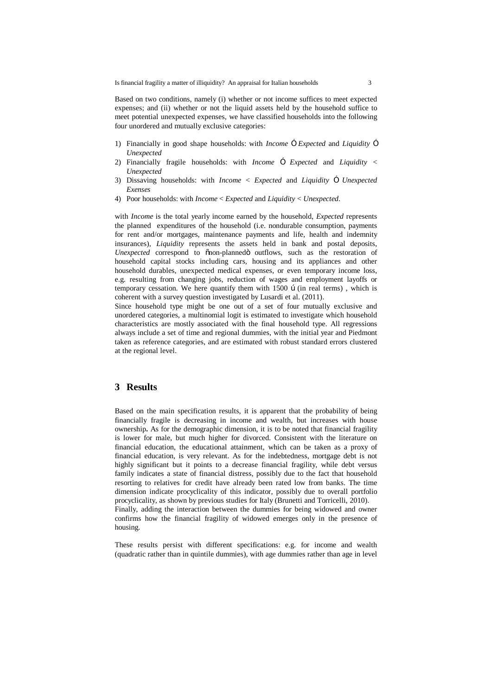Based on two conditions, namely (i) whether or not income suffices to meet expected expenses; and (ii) whether or not the liquid assets held by the household suffice to meet potential unexpected expenses, we have classified households into the following four unordered and mutually exclusive categories:

- 1) Financially in good shape households: with *Income*  $\times$  *Expected* and *Liquidity*  $\times$ *Unexpected*
- 2) Financially fragile households: with *Income*  $\times$  *Expected* and *Liquidity* < *Unexpected*
- 3) Dissaving households: with *Income* < *Expected* and *Liquidity* ≥ *Unexpected Exenses*
- 4) Poor households: with *Income* < *Expected* and *Liquidity* < *Unexpected*.

with *Income* is the total yearly income earned by the household, *Expected* represents the planned expenditures of the household (i.e. nondurable consumption, payments for rent and/or mortgages, maintenance payments and life, health and indemnity insurances), *Liquidity* represents the assets held in bank and postal deposits, *Unexpected* correspond to onon-planned outflows, such as the restoration of household capital stocks including cars, housing and its appliances and other household durables, unexpected medical expenses, or even temporary income loss, e.g. resulting from changing jobs, reduction of wages and employment layoffs or temporary cessation. We here quantify them with  $1500$   $\beta$  (in real terms), which is coherent with a survey question investigated by Lusardi et al. (2011).

Since household type might be one out of a set of four mutually exclusive and unordered categories, a multinomial logit is estimated to investigate which household characteristics are mostly associated with the final household type. All regressions always include a set of time and regional dummies, with the initial year and Piedmont taken as reference categories, and are estimated with robust standard errors clustered at the regional level.

### **3 Results**

Based on the main specification results, it is apparent that the probability of being financially fragile is decreasing in income and wealth, but increases with house ownership**.** As for the demographic dimension, it is to be noted that financial fragility is lower for male, but much higher for divorced. Consistent with the literature on financial education, the educational attainment, which can be taken as a proxy of financial education, is very relevant. As for the indebtedness, mortgage debt is not highly significant but it points to a decrease financial fragility, while debt versus family indicates a state of financial distress, possibly due to the fact that household resorting to relatives for credit have already been rated low from banks. The time dimension indicate procyclicality of this indicator, possibly due to overall portfolio procyclicality, as shown by previous studies for Italy (Brunetti and Torricelli, 2010). Finally, adding the interaction between the dummies for being widowed and owner confirms how the financial fragility of widowed emerges only in the presence of

housing.

These results persist with different specifications: e.g. for income and wealth (quadratic rather than in quintile dummies), with age dummies rather than age in level